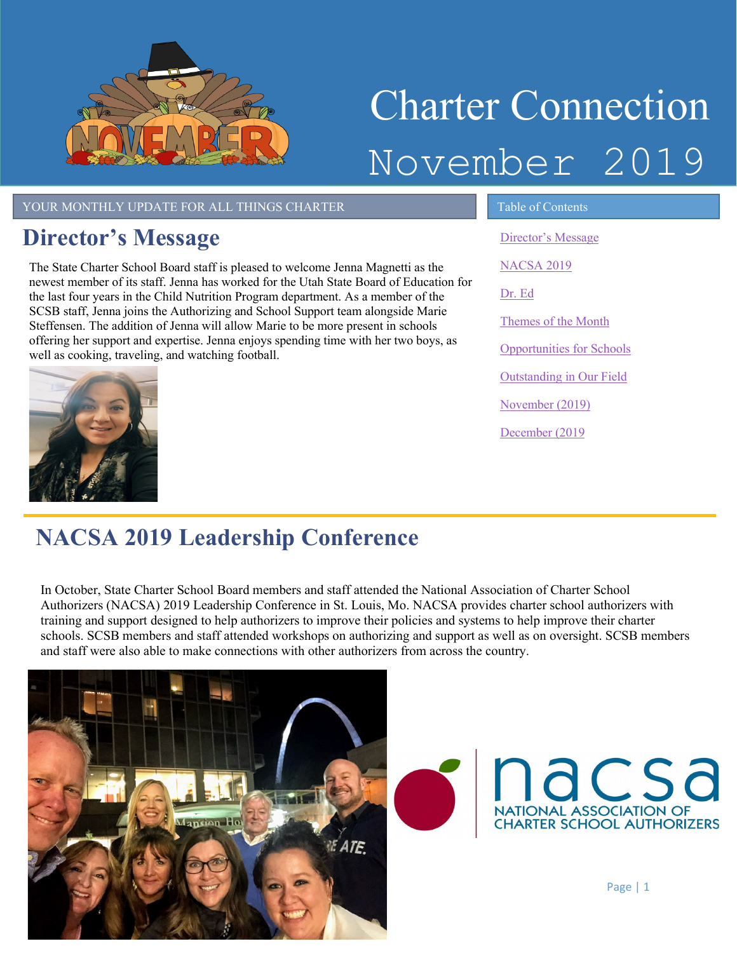

# Charter Connection November 2019

YOUR MONTHLY UPDATE FOR ALL THINGS CHARTER TABLE Table of Contents

### <span id="page-0-0"></span>**Director's Message**

The State Charter School Board staff is pleased to welcome Jenna Magnetti as the newest member of its staff. Jenna has worked for the Utah State Board of Education for the last four years in the Child Nutrition Program department. As a member of the SCSB staff, Jenna joins the Authorizing and School Support team alongside Marie Steffensen. The addition of Jenna will allow Marie to be more present in schools offering her support and expertise. Jenna enjoys spending time with her two boys, as well as cooking, traveling, and watching football.



[Director's Message](#page-0-0) [NACSA 2019](#page-0-1) [Dr. Ed](#page-1-0) Themes of the Month [Opportunities for Schools](#page-2-0)  [Outstanding in Our Field](#page-2-1) [November](#page-3-0) (2019) [December](#page-3-1) (201[9](#page-2-2)

l,

## <span id="page-0-1"></span>**NACSA 2019 Leadership Conference**

In October, State Charter School Board members and staff attended the National Association of Charter School Authorizers (NACSA) 2019 Leadership Conference in St. Louis, Mo. NACSA provides charter school authorizers with training and support designed to help authorizers to improve their policies and systems to help improve their charter schools. SCSB members and staff attended workshops on authorizing and support as well as on oversight. SCSB members and staff were also able to make connections with other authorizers from across the country.



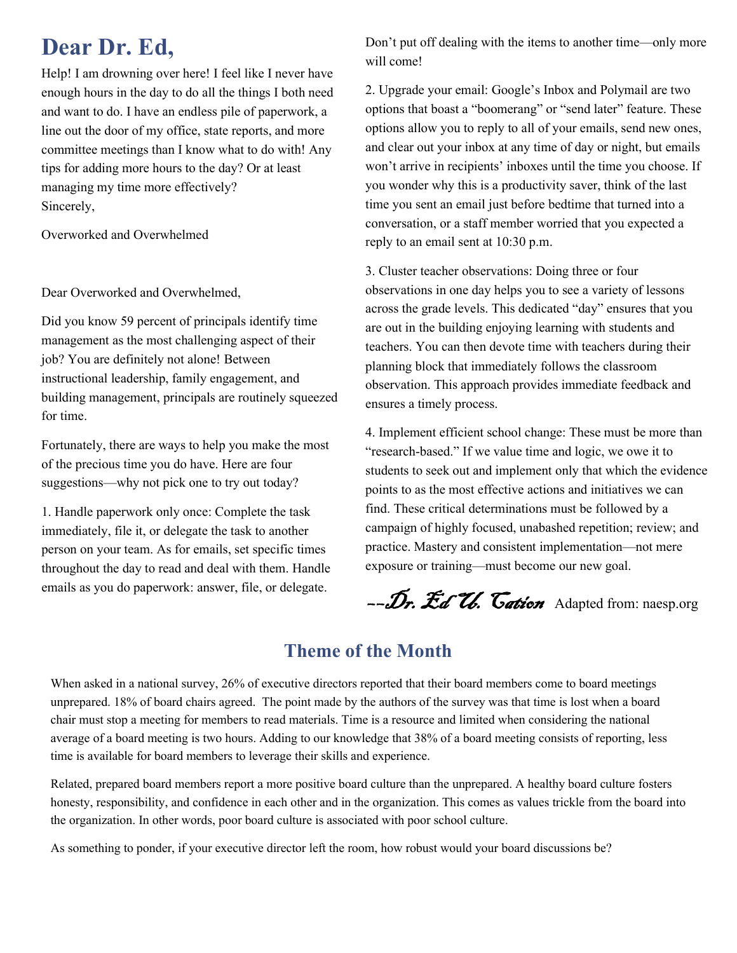### <span id="page-1-0"></span>**Dear Dr. Ed,**

Help! I am drowning over here! I feel like I never have enough hours in the day to do all the things I both need and want to do. I have an endless pile of paperwork, a line out the door of my office, state reports, and more committee meetings than I know what to do with! Any tips for adding more hours to the day? Or at least managing my time more effectively? Sincerely,

Overworked and Overwhelmed

Dear Overworked and Overwhelmed,

Did you know 59 percent of principals identify time management as the most challenging aspect of their job? You are definitely not alone! Between instructional leadership, family engagement, and building management, principals are routinely squeezed for time.

Fortunately, there are ways to help you make the most of the precious time you do have. Here are four suggestions—why not pick one to try out today?

1. Handle paperwork only once: Complete the task immediately, file it, or delegate the task to another person on your team. As for emails, set specific times throughout the day to read and deal with them. Handle emails as you do paperwork: answer, file, or delegate.

Don't put off dealing with the items to another time—only more will come!

2. Upgrade your email: Google's Inbox and Polymail are two options that boast a "boomerang" or "send later" feature. These options allow you to reply to all of your emails, send new ones, and clear out your inbox at any time of day or night, but emails won't arrive in recipients' inboxes until the time you choose. If you wonder why this is a productivity saver, think of the last time you sent an email just before bedtime that turned into a conversation, or a staff member worried that you expected a reply to an email sent at 10:30 p.m.

3. Cluster teacher observations: Doing three or four observations in one day helps you to see a variety of lessons across the grade levels. This dedicated "day" ensures that you are out in the building enjoying learning with students and teachers. You can then devote time with teachers during their planning block that immediately follows the classroom observation. This approach provides immediate feedback and ensures a timely process.

4. Implement efficient school change: These must be more than "research-based." If we value time and logic, we owe it to students to seek out and implement only that which the evidence points to as the most effective actions and initiatives we can find. These critical determinations must be followed by a campaign of highly focused, unabashed repetition; review; and practice. Mastery and consistent implementation—not mere exposure or training—must become our new goal.

--Dr. Ed U. Cation Adapted from: naesp.org

### **Theme of the Month**

When asked in a national survey, 26% of executive directors reported that their board members come to board meetings unprepared. 18% of board chairs agreed. The point made by the authors of the survey was that time is lost when a board chair must stop a meeting for members to read materials. Time is a resource and limited when considering the national average of a board meeting is two hours. Adding to our knowledge that 38% of a board meeting consists of reporting, less time is available for board members to leverage their skills and experience.

Related, prepared board members report a more positive board culture than the unprepared. A healthy board culture fosters honesty, responsibility, and confidence in each other and in the organization. This comes as values trickle from the board into the organization. In other words, poor board culture is associated with poor school culture.

As something to ponder, if your executive director left the room, how robust would your board discussions be?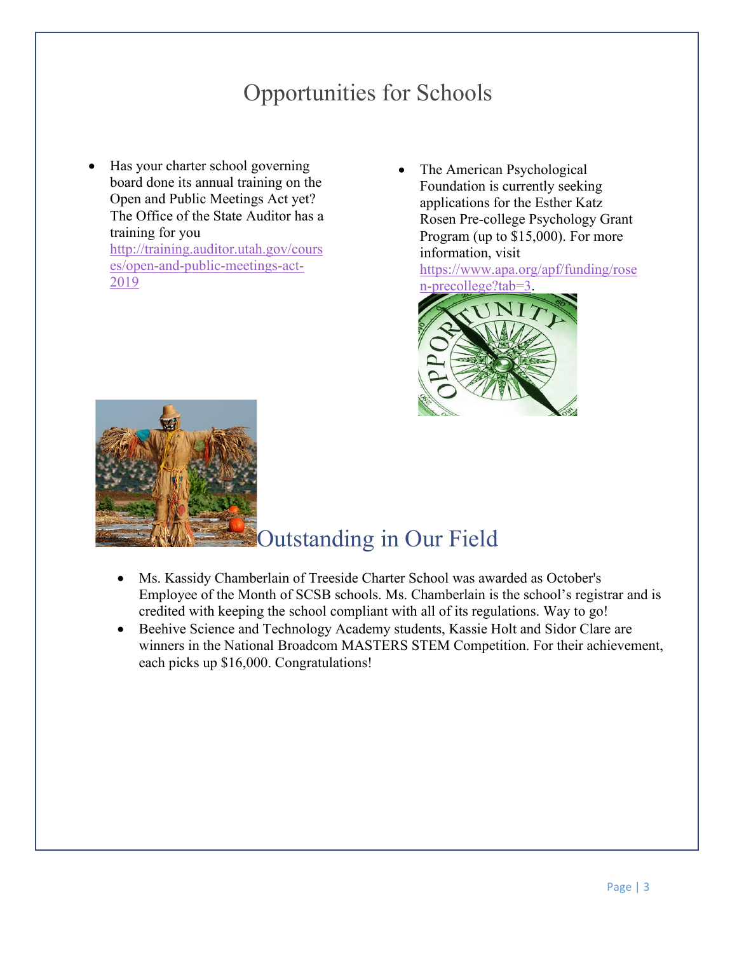### Opportunities for Schools

- <span id="page-2-0"></span>• Has your charter school governing board done its annual training on the Open and Public Meetings Act yet? The Office of the State Auditor has a training for you [http://training.auditor.utah.gov/cours](http://training.auditor.utah.gov/courses/open-and-public-meetings-act-2019) [es/open-and-public-meetings-act-](http://training.auditor.utah.gov/courses/open-and-public-meetings-act-2019)[2019](http://training.auditor.utah.gov/courses/open-and-public-meetings-act-2019)
- The American Psychological Foundation is currently seeking applications for the Esther Katz Rosen Pre-college Psychology Grant Program (up to \$15,000). For more information, visit

[https://www.apa.org/apf/funding/rose](https://www.apa.org/apf/funding/rosen-precollege?tab=3) [n-precollege?tab=3.](https://www.apa.org/apf/funding/rosen-precollege?tab=3)





### <span id="page-2-1"></span>Outstanding in Our Field

- Ms. Kassidy Chamberlain of Treeside Charter School was awarded as October's Employee of the Month of SCSB schools. Ms. Chamberlain is the school's registrar and is credited with keeping the school compliant with all of its regulations. Way to go!
- <span id="page-2-2"></span>• Beehive Science and Technology Academy students, Kassie Holt and Sidor Clare are winners in the National Broadcom MASTERS STEM Competition. For their achievement, each picks up \$16,000. Congratulations!